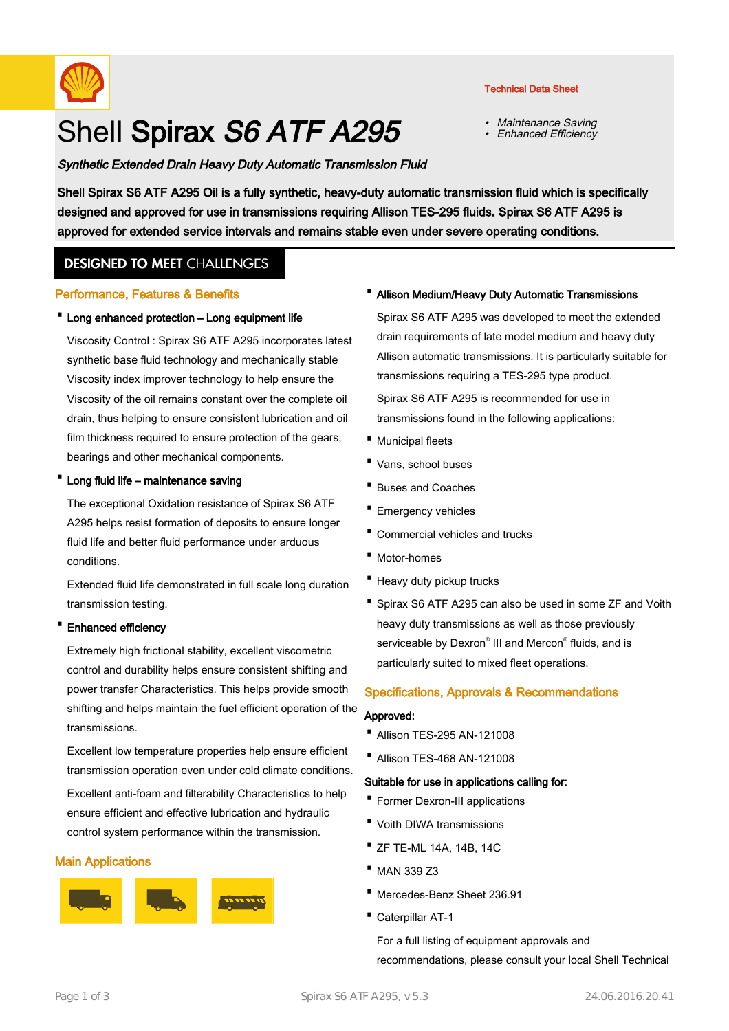

# Shell Spirax S6 ATF A295

# Synthetic Extended Drain Heavy Duty Automatic Transmission Fluid

Technical Data Sheet

- •Maintenance Saving
- •Enhanced Efficiency

Shell Spirax S6 ATF A295 Oil is a fully synthetic, heavy-duty automatic transmission fluid which is specifically designed and approved for use in transmissions requiring Allison TES-295 fluids. Spirax S6 ATF A295 is approved for extended service intervals and remains stable even under severe operating conditions.

# **DESIGNED TO MEET CHALLENGES**

## Performance, Features & Benefits

## · Long enhanced protection – Long equipment life

Viscosity Control : Spirax S6 ATF A295 incorporates latest synthetic base fluid technology and mechanically stable Viscosity index improver technology to help ensure the Viscosity of the oil remains constant over the complete oil drain, thus helping to ensure consistent lubrication and oil film thickness required to ensure protection of the gears, bearings and other mechanical components.

#### · Long fluid life – maintenance saving

The exceptional Oxidation resistance of Spirax S6 ATF A295 helps resist formation of deposits to ensure longer fluid life and better fluid performance under arduous conditions.

Extended fluid life demonstrated in full scale long duration transmission testing.

#### · Enhanced efficiency

Extremely high frictional stability, excellent viscometric control and durability helps ensure consistent shifting and power transfer Characteristics. This helps provide smooth shifting and helps maintain the fuel efficient operation of the transmissions.

Excellent low temperature properties help ensure efficient transmission operation even under cold climate conditions. Excellent anti-foam and filterability Characteristics to help ensure efficient and effective lubrication and hydraulic control system performance within the transmission.

#### Main Applications



#### · Allison Medium/Heavy Duty Automatic Transmissions

Spirax S6 ATF A295 was developed to meet the extended drain requirements of late model medium and heavy duty Allison automatic transmissions. It is particularly suitable for transmissions requiring a TES-295 type product.

Spirax S6 ATF A295 is recommended for use in transmissions found in the following applications:

- · Municipal fleets
- · Vans, school buses
- · Buses and Coaches
- · Emergency vehicles
- · Commercial vehicles and trucks
- · Motor-homes
- · Heavy duty pickup trucks
- Spirax S6 ATF A295 can also be used in some ZF and Voith heavy duty transmissions as well as those previously serviceable by Dexron® III and Mercon® fluids, and is particularly suited to mixed fleet operations.

#### Specifications, Approvals & Recommendations

#### Approved:

- · Allison TES-295 AN-121008
- · Allison TES-468 AN-121008

#### Suitable for use in applications calling for:

- · Former Dexron-III applications
- · Voith DIWA transmissions
- · ZF TE-ML 14A, 14B, 14C
- · MAN 339 Z3
- · Mercedes-Benz Sheet 236.91
- · Caterpillar AT-1

For a full listing of equipment approvals and recommendations, please consult your local Shell Technical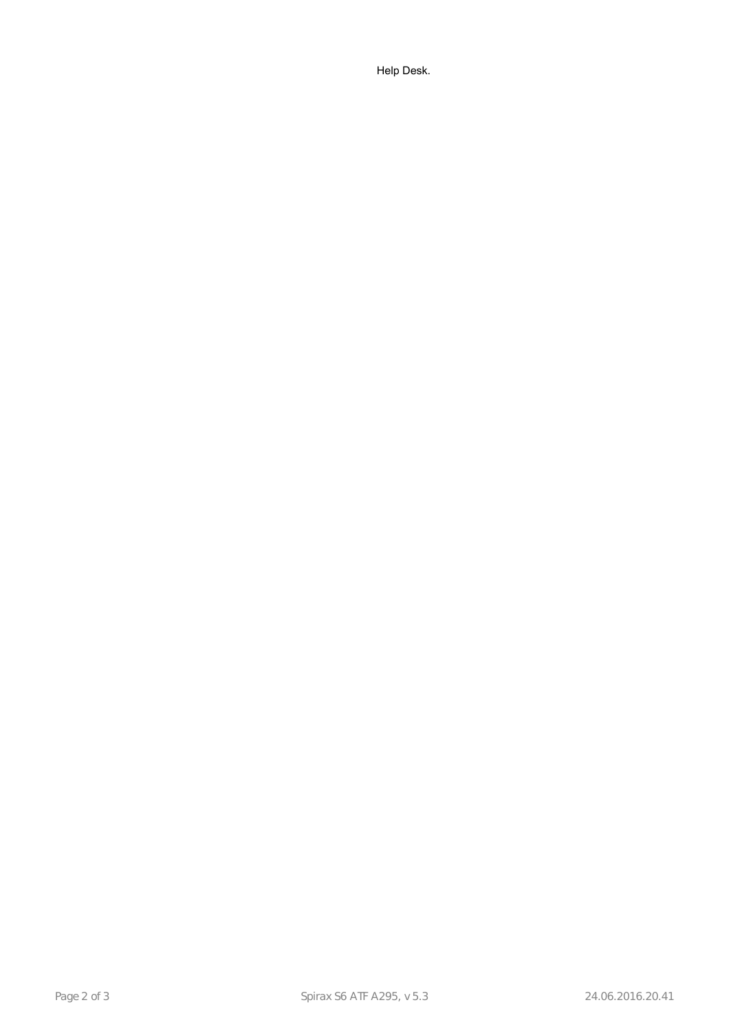Help Desk.